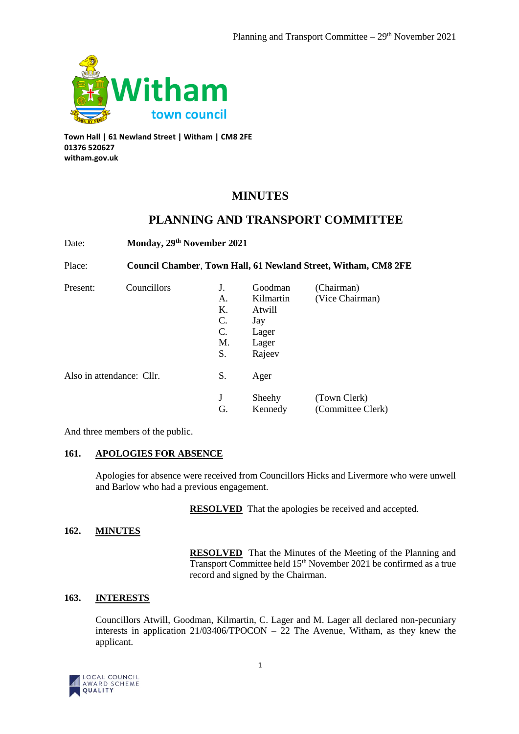

**Town Hall | 61 Newland Street | Witham | CM8 2FE 01376 520627 witham.gov.uk**

# **MINUTES**

# **PLANNING AND TRANSPORT COMMITTEE**

Date: **Monday, 29th November 2021** Place: **Council Chamber**, **Town Hall, 61 Newland Street, Witham, CM8 2FE** Present: Councillors J. Goodman (Chairman) A. Kilmartin (Vice Chairman) K. Atwill C. Jay C. Lager M. Lager S. Rajeev Also in attendance: Cllr. S. Ager J Sheehy (Town Clerk) G. Kennedy (Committee Clerk)

And three members of the public.

# **161. APOLOGIES FOR ABSENCE**

Apologies for absence were received from Councillors Hicks and Livermore who were unwell and Barlow who had a previous engagement.

**RESOLVED** That the apologies be received and accepted.

## **162. MINUTES**

**RESOLVED** That the Minutes of the Meeting of the Planning and Transport Committee held 15th November 2021 be confirmed as a true record and signed by the Chairman.

# **163. INTERESTS**

Councillors Atwill, Goodman, Kilmartin, C. Lager and M. Lager all declared non-pecuniary interests in application 21/03406/TPOCON – 22 The Avenue, Witham, as they knew the applicant.

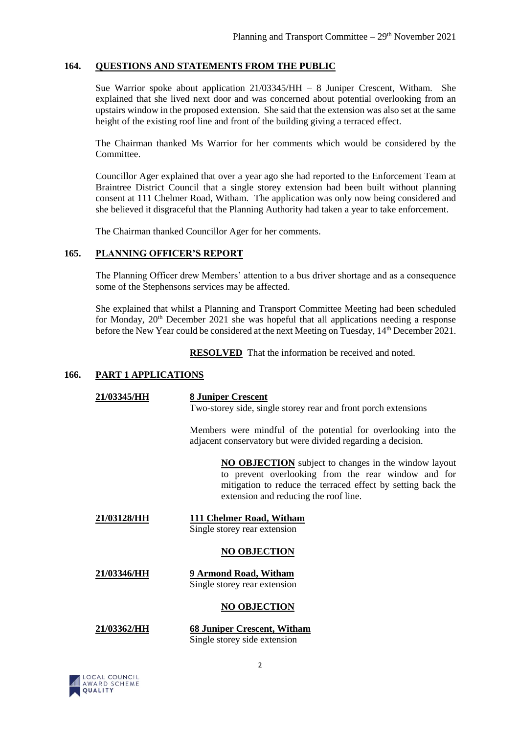### **164. QUESTIONS AND STATEMENTS FROM THE PUBLIC**

Sue Warrior spoke about application 21/03345/HH – 8 Juniper Crescent, Witham. She explained that she lived next door and was concerned about potential overlooking from an upstairs window in the proposed extension. She said that the extension was also set at the same height of the existing roof line and front of the building giving a terraced effect.

The Chairman thanked Ms Warrior for her comments which would be considered by the Committee.

Councillor Ager explained that over a year ago she had reported to the Enforcement Team at Braintree District Council that a single storey extension had been built without planning consent at 111 Chelmer Road, Witham. The application was only now being considered and she believed it disgraceful that the Planning Authority had taken a year to take enforcement.

The Chairman thanked Councillor Ager for her comments.

# **165. PLANNING OFFICER'S REPORT**

The Planning Officer drew Members' attention to a bus driver shortage and as a consequence some of the Stephensons services may be affected.

She explained that whilst a Planning and Transport Committee Meeting had been scheduled for Monday, 20<sup>th</sup> December 2021 she was hopeful that all applications needing a response before the New Year could be considered at the next Meeting on Tuesday, 14th December 2021.

**RESOLVED** That the information be received and noted.

#### **166. PART 1 APPLICATIONS**

| 21/03345/HH | <b>8 Juniper Crescent</b><br>Two-storey side, single storey rear and front porch extensions                                                                                                                                 |
|-------------|-----------------------------------------------------------------------------------------------------------------------------------------------------------------------------------------------------------------------------|
|             | Members were mindful of the potential for overlooking into the<br>adjacent conservatory but were divided regarding a decision.                                                                                              |
|             | <b>NO OBJECTION</b> subject to changes in the window layout<br>to prevent overlooking from the rear window and for<br>mitigation to reduce the terraced effect by setting back the<br>extension and reducing the roof line. |
| 21/03128/HH | 111 Chelmer Road, Witham<br>Single storey rear extension                                                                                                                                                                    |
|             | <b>NO OBJECTION</b>                                                                                                                                                                                                         |
| 21/03346/HH | 9 Armond Road, Witham<br>Single storey rear extension                                                                                                                                                                       |
|             | <b>NO OBJECTION</b>                                                                                                                                                                                                         |
| 21/03362/HH | <b>68 Juniper Crescent, Witham</b><br>Single storey side extension                                                                                                                                                          |

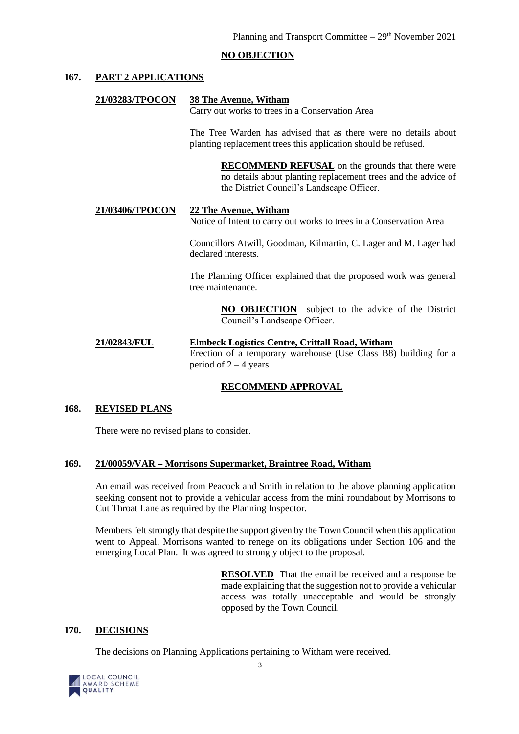## **NO OBJECTION**

## **167. PART 2 APPLICATIONS**

#### **21/03283/TPOCON 38 The Avenue, Witham**

Carry out works to trees in a Conservation Area

The Tree Warden has advised that as there were no details about planting replacement trees this application should be refused.

> **RECOMMEND REFUSAL** on the grounds that there were no details about planting replacement trees and the advice of the District Council's Landscape Officer.

## **21/03406/TPOCON 22 The Avenue, Witham**

Notice of Intent to carry out works to trees in a Conservation Area

Councillors Atwill, Goodman, Kilmartin, C. Lager and M. Lager had declared interests.

The Planning Officer explained that the proposed work was general tree maintenance.

> **NO OBJECTION** subject to the advice of the District Council's Landscape Officer.

#### **21/02843/FUL Elmbeck Logistics Centre, Crittall Road, Witham** Erection of a temporary warehouse (Use Class B8) building for a period of  $2 - 4$  years

#### **RECOMMEND APPROVAL**

#### **168. REVISED PLANS**

There were no revised plans to consider.

#### **169. 21/00059/VAR – Morrisons Supermarket, Braintree Road, Witham**

An email was received from Peacock and Smith in relation to the above planning application seeking consent not to provide a vehicular access from the mini roundabout by Morrisons to Cut Throat Lane as required by the Planning Inspector.

Members felt strongly that despite the support given by the Town Council when this application went to Appeal, Morrisons wanted to renege on its obligations under Section 106 and the emerging Local Plan. It was agreed to strongly object to the proposal.

> **RESOLVED** That the email be received and a response be made explaining that the suggestion not to provide a vehicular access was totally unacceptable and would be strongly opposed by the Town Council.

#### **170. DECISIONS**

The decisions on Planning Applications pertaining to Witham were received.

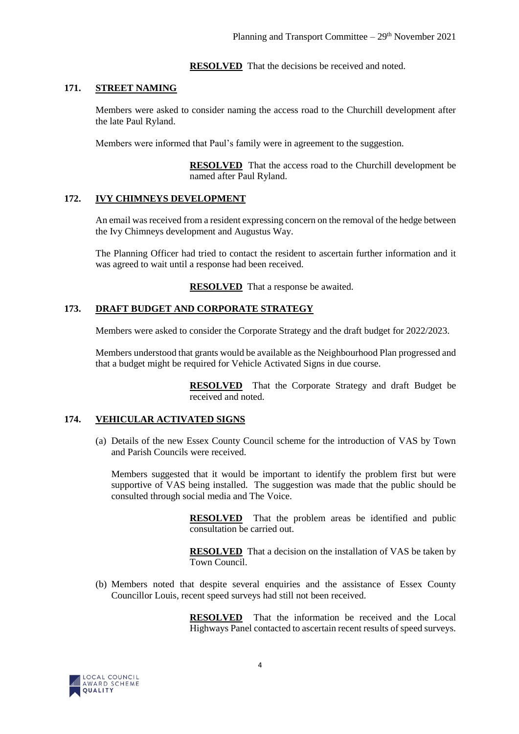**RESOLVED** That the decisions be received and noted.

## **171. STREET NAMING**

Members were asked to consider naming the access road to the Churchill development after the late Paul Ryland.

Members were informed that Paul's family were in agreement to the suggestion.

**RESOLVED** That the access road to the Churchill development be named after Paul Ryland.

## **172. IVY CHIMNEYS DEVELOPMENT**

An email was received from a resident expressing concern on the removal of the hedge between the Ivy Chimneys development and Augustus Way.

The Planning Officer had tried to contact the resident to ascertain further information and it was agreed to wait until a response had been received.

**RESOLVED** That a response be awaited.

## **173. DRAFT BUDGET AND CORPORATE STRATEGY**

Members were asked to consider the Corporate Strategy and the draft budget for 2022/2023.

Members understood that grants would be available as the Neighbourhood Plan progressed and that a budget might be required for Vehicle Activated Signs in due course.

> **RESOLVED** That the Corporate Strategy and draft Budget be received and noted.

## **174. VEHICULAR ACTIVATED SIGNS**

(a) Details of the new Essex County Council scheme for the introduction of VAS by Town and Parish Councils were received.

Members suggested that it would be important to identify the problem first but were supportive of VAS being installed. The suggestion was made that the public should be consulted through social media and The Voice.

> **RESOLVED** That the problem areas be identified and public consultation be carried out.

> **RESOLVED** That a decision on the installation of VAS be taken by Town Council.

(b) Members noted that despite several enquiries and the assistance of Essex County Councillor Louis, recent speed surveys had still not been received.

> **RESOLVED** That the information be received and the Local Highways Panel contacted to ascertain recent results of speed surveys.